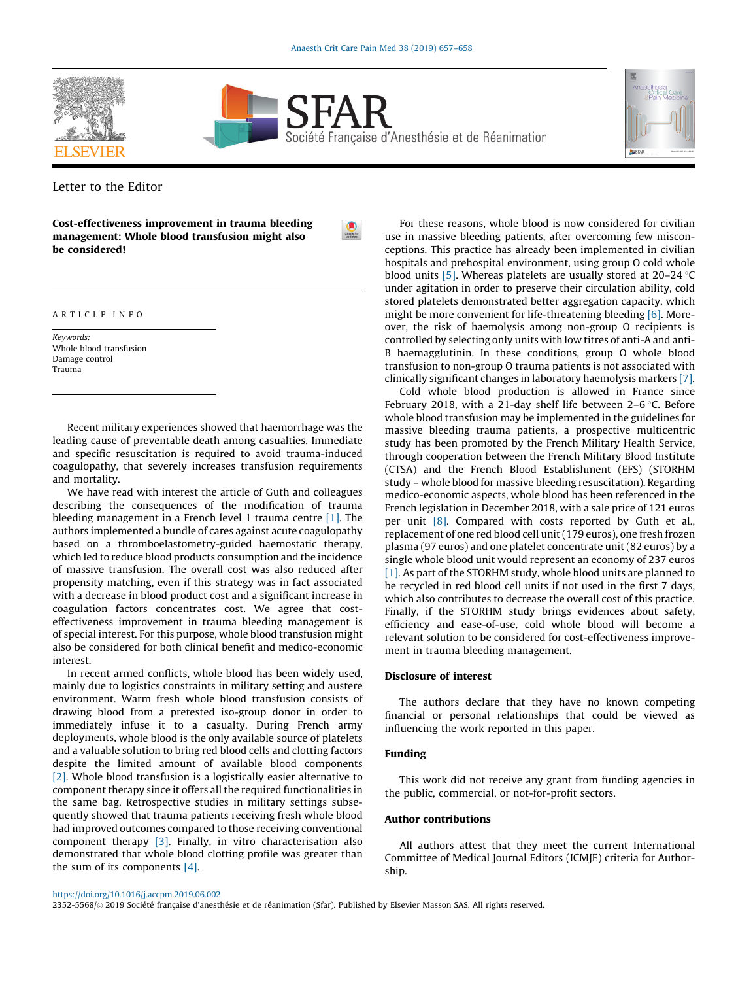





Letter to the Editor

Cost-effectiveness improvement in trauma bleeding management: Whole blood transfusion might also be considered!

### A R T I C L E I N F O

Keywords: Whole blood transfusion Damage control Trauma

Recent military experiences showed that haemorrhage was the leading cause of preventable death among casualties. Immediate and specific resuscitation is required to avoid trauma-induced coagulopathy, that severely increases transfusion requirements and mortality.

We have read with interest the article of Guth and colleagues describing the consequences of the modification of trauma bleeding management in a French level 1 trauma centre [\[1\].](#page-1-0) The authors implemented a bundle of cares against acute coagulopathy based on a thromboelastometry-guided haemostatic therapy, which led to reduce blood products consumption and the incidence of massive transfusion. The overall cost was also reduced after propensity matching, even if this strategy was in fact associated with a decrease in blood product cost and a significant increase in coagulation factors concentrates cost. We agree that costeffectiveness improvement in trauma bleeding management is of special interest. For this purpose, whole blood transfusion might also be considered for both clinical benefit and medico-economic interest.

In recent armed conflicts, whole blood has been widely used, mainly due to logistics constraints in military setting and austere environment. Warm fresh whole blood transfusion consists of drawing blood from a pretested iso-group donor in order to immediately infuse it to a casualty. During French army deployments, whole blood is the only available source of platelets and a valuable solution to bring red blood cells and clotting factors despite the limited amount of available blood components [\[2\]](#page-1-0). Whole blood transfusion is a logistically easier alternative to component therapy since it offers all the required functionalities in the same bag. Retrospective studies in military settings subsequently showed that trauma patients receiving fresh whole blood had improved outcomes compared to those receiving conventional component therapy [\[3\]](#page-1-0). Finally, in vitro characterisation also demonstrated that whole blood clotting profile was greater than the sum of its components [\[4\].](#page-1-0)

For these reasons, whole blood is now considered for civilian use in massive bleeding patients, after overcoming few misconceptions. This practice has already been implemented in civilian hospitals and prehospital environment, using group O cold whole blood units [\[5\].](#page-1-0) Whereas platelets are usually stored at  $20-24$  °C under agitation in order to preserve their circulation ability, cold stored platelets demonstrated better aggregation capacity, which might be more convenient for life-threatening bleeding [\[6\]](#page-1-0). Moreover, the risk of haemolysis among non-group O recipients is controlled by selecting only units with low titres of anti-A and anti-B haemagglutinin. In these conditions, group O whole blood transfusion to non-group O trauma patients is not associated with clinically significant changes in laboratory haemolysis markers [\[7\].](#page-1-0)

Cold whole blood production is allowed in France since February 2018, with a 21-day shelf life between 2-6  $\degree$ C. Before whole blood transfusion may be implemented in the guidelines for massive bleeding trauma patients, a prospective multicentric study has been promoted by the French Military Health Service, through cooperation between the French Military Blood Institute (CTSA) and the French Blood Establishment (EFS) (STORHM study – whole blood for massive bleeding resuscitation). Regarding medico-economic aspects, whole blood has been referenced in the French legislation in December 2018, with a sale price of 121 euros per unit [\[8\]](#page-1-0). Compared with costs reported by Guth et al., replacement of one red blood cell unit (179 euros), one fresh frozen plasma (97 euros) and one platelet concentrate unit (82 euros) by a single whole blood unit would represent an economy of 237 euros [\[1\]](#page-1-0). As part of the STORHM study, whole blood units are planned to be recycled in red blood cell units if not used in the first 7 days, which also contributes to decrease the overall cost of this practice. Finally, if the STORHM study brings evidences about safety, efficiency and ease-of-use, cold whole blood will become a relevant solution to be considered for cost-effectiveness improvement in trauma bleeding management.

## Disclosure of interest

The authors declare that they have no known competing financial or personal relationships that could be viewed as influencing the work reported in this paper.

### Funding

This work did not receive any grant from funding agencies in the public, commercial, or not-for-profit sectors.

# Author contributions

All authors attest that they meet the current International Committee of Medical Journal Editors (ICMJE) criteria for Authorship.

<https://doi.org/10.1016/j.accpm.2019.06.002>

2352-5568/© 2019 Société française d'anesthésie et de réanimation (Sfar). Published by Elsevier Masson SAS. All rights reserved.